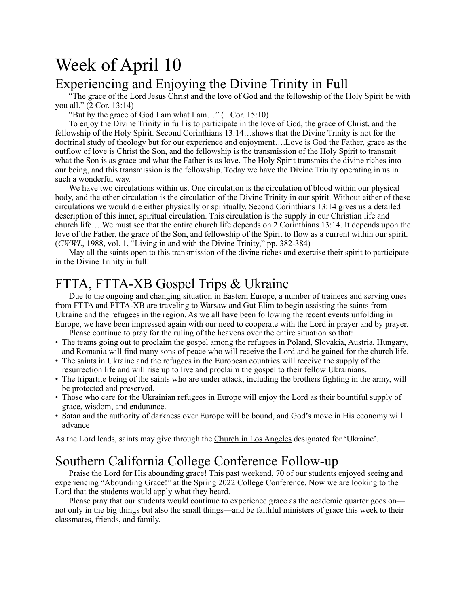# Week of April 10

#### Experiencing and Enjoying the Divine Trinity in Full

"The grace of the Lord Jesus Christ and the love of God and the fellowship of the Holy Spirit be with you all." (2 Cor. 13:14)

"But by the grace of God I am what I am…" (1 Cor. 15:10)

To enjoy the Divine Trinity in full is to participate in the love of God, the grace of Christ, and the fellowship of the Holy Spirit. Second Corinthians 13:14…shows that the Divine Trinity is not for the doctrinal study of theology but for our experience and enjoyment….Love is God the Father, grace as the outflow of love is Christ the Son, and the fellowship is the transmission of the Holy Spirit to transmit what the Son is as grace and what the Father is as love. The Holy Spirit transmits the divine riches into our being, and this transmission is the fellowship. Today we have the Divine Trinity operating in us in such a wonderful way.

We have two circulations within us. One circulation is the circulation of blood within our physical body, and the other circulation is the circulation of the Divine Trinity in our spirit. Without either of these circulations we would die either physically or spiritually. Second Corinthians 13:14 gives us a detailed description of this inner, spiritual circulation. This circulation is the supply in our Christian life and church life….We must see that the entire church life depends on 2 Corinthians 13:14. It depends upon the love of the Father, the grace of the Son, and fellowship of the Spirit to flow as a current within our spirit. (*CWWL*, 1988, vol. 1, "Living in and with the Divine Trinity," pp. 382-384)

May all the saints open to this transmission of the divine riches and exercise their spirit to participate in the Divine Trinity in full!

## FTTA, FTTA-XB Gospel Trips & Ukraine

Due to the ongoing and changing situation in Eastern Europe, a number of trainees and serving ones from FTTA and FTTA-XB are traveling to Warsaw and Gut Elim to begin assisting the saints from Ukraine and the refugees in the region. As we all have been following the recent events unfolding in Europe, we have been impressed again with our need to cooperate with the Lord in prayer and by prayer.

Please continue to pray for the ruling of the heavens over the entire situation so that:

- The teams going out to proclaim the gospel among the refugees in Poland, Slovakia, Austria, Hungary, and Romania will find many sons of peace who will receive the Lord and be gained for the church life.
- The saints in Ukraine and the refugees in the European countries will receive the supply of the resurrection life and will rise up to live and proclaim the gospel to their fellow Ukrainians.
- The tripartite being of the saints who are under attack, including the brothers fighting in the army, will be protected and preserved.
- Those who care for the Ukrainian refugees in Europe will enjoy the Lord as their bountiful supply of grace, wisdom, and endurance.
- Satan and the authority of darkness over Europe will be bound, and God's move in His economy will advance

As the Lord leads, saints may give through the [Church in Los Angeles](https://www.churchinlosangeles.org/members/offerings/) designated for 'Ukraine'.

# Southern California College Conference Follow-up

Praise the Lord for His abounding grace! This past weekend, 70 of our students enjoyed seeing and experiencing "Abounding Grace!" at the Spring 2022 College Conference. Now we are looking to the Lord that the students would apply what they heard.

Please pray that our students would continue to experience grace as the academic quarter goes on not only in the big things but also the small things—and be faithful ministers of grace this week to their classmates, friends, and family.